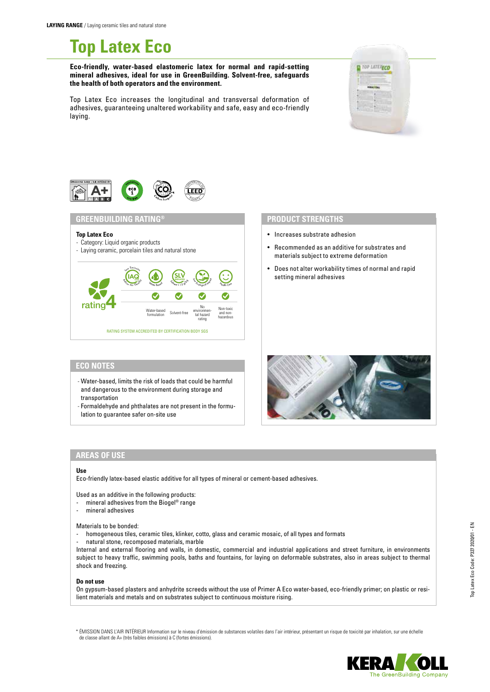# **Top Latex Eco**

# **Eco-friendly, water-based elastomeric latex for normal and rapid-setting mineral adhesives, ideal for use in GreenBuilding. Solvent-free, safeguards the health of both operators and the environment.**

Top Latex Eco increases the longitudinal and transversal deformation of adhesives, guaranteeing unaltered workability and safe, easy and eco-friendly laying.





# **GREENBUILDING RATING®**

### **Top Latex Eco**

- Category: Liquid organic products
- Laying ceramic, porcelain tiles and natural stone



# **PRODUCT STRENGTHS**

- Increases substrate adhesion
- Recommended as an additive for substrates and materials subject to extreme deformation
- Does not alter workability times of normal and rapid setting mineral adhesives

# **ECO NOTES**

- Water-based, limits the risk of loads that could be harmful and dangerous to the environment during storage and transportation
- Formaldehyde and phthalates are not present in the formulation to guarantee safer on-site use



# **AREAS OF USE**

### **Use**

Eco-friendly latex-based elastic additive for all types of mineral or cement-based adhesives.

Used as an additive in the following products:

- mineral adhesives from the Biogel<sup>®</sup> range
- mineral adhesives

Materials to be bonded:

- homogeneous tiles, ceramic tiles, klinker, cotto, glass and ceramic mosaic, of all types and formats
- natural stone, recomposed materials, marble

Internal and external flooring and walls, in domestic, commercial and industrial applications and street furniture, in environments subject to heavy traffic, swimming pools, baths and fountains, for laying on deformable substrates, also in areas subject to thermal shock and freezing.

### **Do not use**

On gypsum-based plasters and anhydrite screeds without the use of Primer A Eco water-based, eco-friendly primer; on plastic or resilient materials and metals and on substrates subject to continuous moisture rising.

\* ÉMISSION DANS L'AIR INTÉRIEUR Information sur le niveau d'émission de substances volatiles dans l'air intérieur, présentant un risque de toxicité par inhalation, sur une échelle de classe allant de A+ (très faibles émissions) à C (fortes émissions).

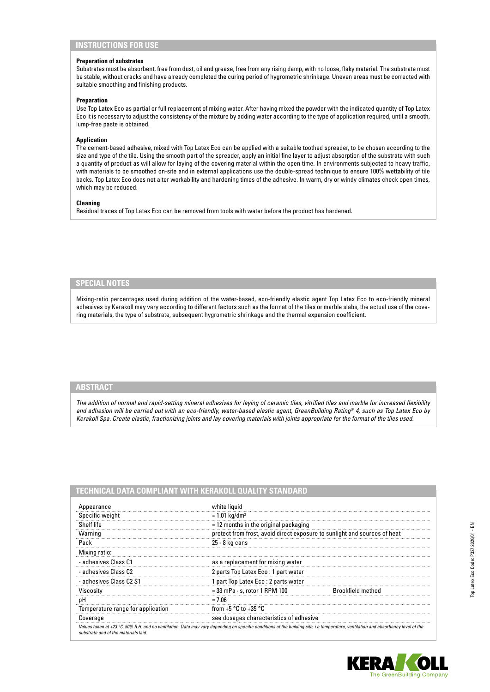# **INSTRUCTIONS FOR USE**

## **Preparation of substrates**

Substrates must be absorbent, free from dust, oil and grease, free from any rising damp, with no loose, flaky material. The substrate must be stable, without cracks and have already completed the curing period of hygrometric shrinkage. Uneven areas must be corrected with suitable smoothing and finishing products.

### **Preparation**

Use Top Latex Eco as partial or full replacement of mixing water. After having mixed the powder with the indicated quantity of Top Latex Eco it is necessary to adjust the consistency of the mixture by adding water according to the type of application required, until a smooth, lump-free paste is obtained.

### **Application**

The cement-based adhesive, mixed with Top Latex Eco can be applied with a suitable toothed spreader, to be chosen according to the size and type of the tile. Using the smooth part of the spreader, apply an initial fine layer to adjust absorption of the substrate with such a quantity of product as will allow for laying of the covering material within the open time. In environments subjected to heavy traffic, with materials to be smoothed on-site and in external applications use the double-spread technique to ensure 100% wettability of tile backs. Top Latex Eco does not alter workability and hardening times of the adhesive. In warm, dry or windy climates check open times, which may be reduced.

### **Cleaning**

Residual traces of Top Latex Eco can be removed from tools with water before the product has hardened.

# **SPECIAL NOTES**

Mixing-ratio percentages used during addition of the water-based, eco-friendly elastic agent Top Latex Eco to eco-friendly mineral adhesives by Kerakoll may vary according to different factors such as the format of the tiles or marble slabs, the actual use of the covering materials, the type of substrate, subsequent hygrometric shrinkage and the thermal expansion coefficient.

## **ABSTRACT**

*The addition of normal and rapid-setting mineral adhesives for laying of ceramic tiles, vitrified tiles and marble for increased flexibility and adhesion will be carried out with an eco-friendly, water-based elastic agent, GreenBuilding Rating® 4, such as Top Latex Eco by Kerakoll Spa. Create elastic, fractionizing joints and lay covering materials with joints appropriate for the format of the tiles used.*

| TECHNICAL DATA COMPLIANT WITH KERAKOLI QUALITY STANDARD |                                                                                                                                                                                    |                   |
|---------------------------------------------------------|------------------------------------------------------------------------------------------------------------------------------------------------------------------------------------|-------------------|
| Appearance                                              | white liquid                                                                                                                                                                       |                   |
| Specific weight                                         | $\approx$ 1.01 kg/dm <sup>3</sup>                                                                                                                                                  |                   |
| Shelf life                                              | $\approx$ 12 months in the original packaging                                                                                                                                      |                   |
| Warning                                                 | protect from frost, avoid direct exposure to sunlight and sources of heat                                                                                                          |                   |
| Pack                                                    | 25 - 8 kg cans                                                                                                                                                                     |                   |
| Mixing ratio:                                           |                                                                                                                                                                                    |                   |
| - adhesives Class C1                                    | as a replacement for mixing water                                                                                                                                                  |                   |
| - adhesives Class C2                                    | 2 parts Top Latex Eco: 1 part water                                                                                                                                                |                   |
| - adhesives Class C2 S1                                 | 1 part Top Latex Eco: 2 parts water                                                                                                                                                |                   |
| Viscosity                                               | $\approx$ 33 mPa $\cdot$ s, rotor 1 RPM 100                                                                                                                                        | Brookfield method |
| рH                                                      | ≈ 7.06                                                                                                                                                                             |                   |
| Temperature range for application                       | from +5 $\degree$ C to +35 $\degree$ C                                                                                                                                             |                   |
| Coverage                                                | see dosages characteristics of adhesive                                                                                                                                            |                   |
| substrate and of the materials laid.                    | Values taken at +23 °C, 50% R.H. and no ventilation. Data may vary depending on specific conditions at the building site, i.e.temperature, ventilation and absorbency level of the |                   |